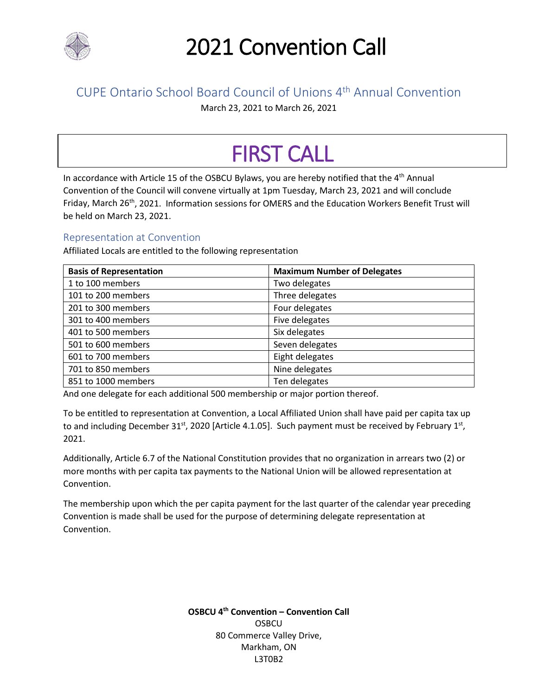

### CUPE Ontario School Board Council of Unions 4th Annual Convention

March 23, 2021 to March 26, 2021

# FIRST CALL

In accordance with Article 15 of the OSBCU Bylaws, you are hereby notified that the 4<sup>th</sup> Annual Convention of the Council will convene virtually at 1pm Tuesday, March 23, 2021 and will conclude Friday, March 26<sup>th</sup>, 2021. Information sessions for OMERS and the Education Workers Benefit Trust will be held on March 23, 2021.

### Representation at Convention

Affiliated Locals are entitled to the following representation

| <b>Basis of Representation</b> | <b>Maximum Number of Delegates</b> |
|--------------------------------|------------------------------------|
| 1 to 100 members               | Two delegates                      |
| 101 to 200 members             | Three delegates                    |
| 201 to 300 members             | Four delegates                     |
| 301 to 400 members             | Five delegates                     |
| 401 to 500 members             | Six delegates                      |
| 501 to 600 members             | Seven delegates                    |
| 601 to 700 members             | Eight delegates                    |
| 701 to 850 members             | Nine delegates                     |
| 851 to 1000 members            | Ten delegates                      |

And one delegate for each additional 500 membership or major portion thereof.

To be entitled to representation at Convention, a Local Affiliated Union shall have paid per capita tax up to and including December 31<sup>st</sup>, 2020 [Article 4.1.05]. Such payment must be received by February 1st, 2021.

Additionally, Article 6.7 of the National Constitution provides that no organization in arrears two (2) or more months with per capita tax payments to the National Union will be allowed representation at Convention.

The membership upon which the per capita payment for the last quarter of the calendar year preceding Convention is made shall be used for the purpose of determining delegate representation at Convention.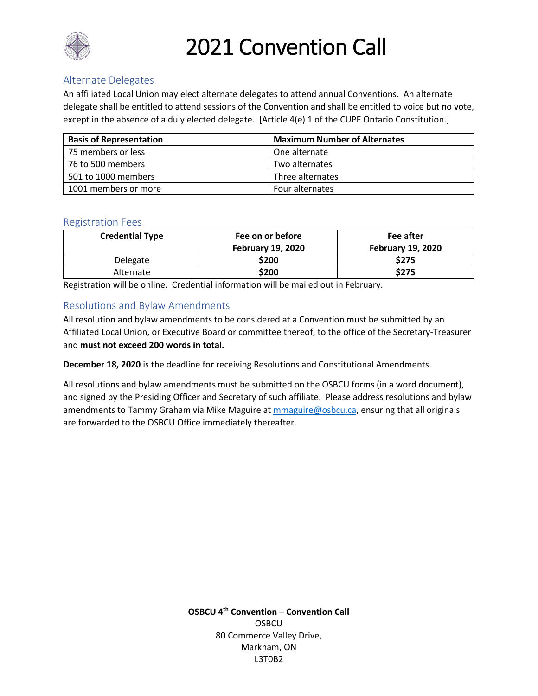

### Alternate Delegates

An affiliated Local Union may elect alternate delegates to attend annual Conventions. An alternate delegate shall be entitled to attend sessions of the Convention and shall be entitled to voice but no vote, except in the absence of a duly elected delegate. [Article 4(e) 1 of the CUPE Ontario Constitution.]

| <b>Basis of Representation</b> | <b>Maximum Number of Alternates</b> |
|--------------------------------|-------------------------------------|
| 75 members or less             | One alternate                       |
| 76 to 500 members              | Two alternates                      |
| 501 to 1000 members            | Three alternates                    |
| 1001 members or more           | Four alternates                     |

#### Registration Fees

| <b>Credential Type</b> | Fee on or before         | Fee after                |
|------------------------|--------------------------|--------------------------|
|                        | <b>February 19, 2020</b> | <b>February 19, 2020</b> |
| Delegate               | \$200                    | \$275                    |
| Alternate              | \$200                    | \$275                    |

Registration will be online. Credential information will be mailed out in February.

#### Resolutions and Bylaw Amendments

All resolution and bylaw amendments to be considered at a Convention must be submitted by an Affiliated Local Union, or Executive Board or committee thereof, to the office of the Secretary-Treasurer and **must not exceed 200 words in total.**

**December 18, 2020** is the deadline for receiving Resolutions and Constitutional Amendments.

All resolutions and bylaw amendments must be submitted on the OSBCU forms (in a word document), and signed by the Presiding Officer and Secretary of such affiliate. Please address resolutions and bylaw amendments to Tammy Graham via Mike Maguire at [mmaguire@osbcu.ca,](mailto:mmaguire@osbcu.ca) ensuring that all originals are forwarded to the OSBCU Office immediately thereafter.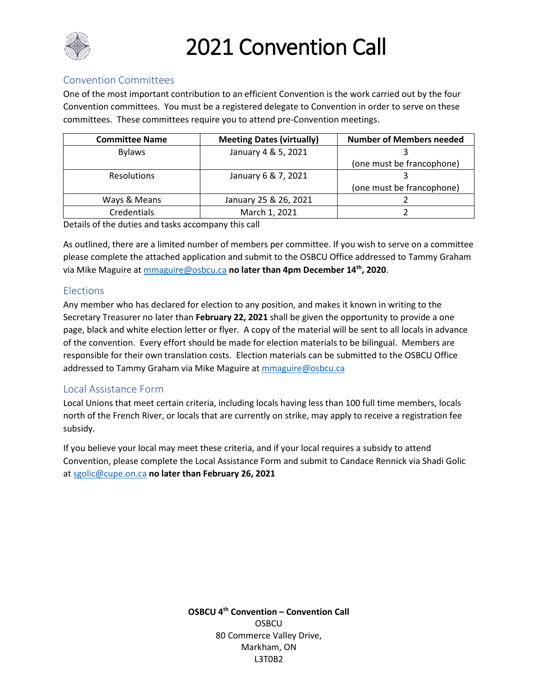

#### Convention Committees

One of the most important contribution to an efficient Convention is the work carried out by the four Convention committees. You must be a registered delegate to Convention in order to serve on these committees. These committees require you to attend pre-Convention meetings.

| <b>Committee Name</b> | <b>Meeting Dates (virtually)</b> | <b>Number of Members needed</b> |
|-----------------------|----------------------------------|---------------------------------|
| <b>Bylaws</b>         | January 4 & 5, 2021              |                                 |
|                       |                                  | (one must be francophone)       |
| <b>Resolutions</b>    | January 6 & 7, 2021              |                                 |
|                       |                                  | (one must be francophone)       |
| Ways & Means          | January 25 & 26, 2021            |                                 |
| Credentials           | March 1, 2021                    |                                 |

Details of the duties and tasks accompany this call

As outlined, there are a limited number of members per committee. If you wish to serve on a committee please complete the attached application and submit to the OSBCU Office addressed to Tammy Graham via Mike Maguire a[t mmaguire@osbcu.ca](mailto:mmaguire@osbcu.ca) **no later than 4pm December 14th, 2020**.

#### **Elections**

Any member who has declared for election to any position, and makes it known in writing to the Secretary Treasurer no later than **February 22, 2021** shall be given the opportunity to provide a one page, black and white election letter or flyer. A copy of the material will be sent to all locals in advance of the convention. Every effort should be made for election materials to be bilingual. Members are responsible for their own translation costs. Election materials can be submitted to the OSBCU Office addressed to Tammy Graham via Mike Maguire at [mmaguire@osbcu.ca](mailto:mmaguire@osbcu.ca)

### Local Assistance Form

Local Unions that meet certain criteria, including locals having less than 100 full time members, locals north of the French River, or locals that are currently on strike, may apply to receive a registration fee subsidy.

If you believe your local may meet these criteria, and if your local requires a subsidy to attend Convention, please complete the Local Assistance Form and submit to Candace Rennick via Shadi Golic at [sgolic@cupe.on.ca](mailto:sgolic@cupe.on.ca) **no later than February 26, 2021**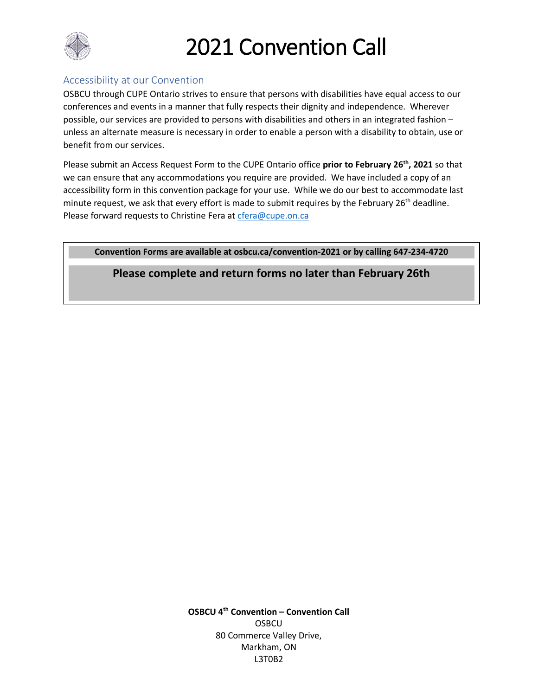

### Accessibility at our Convention

OSBCU through CUPE Ontario strives to ensure that persons with disabilities have equal access to our conferences and events in a manner that fully respects their dignity and independence. Wherever possible, our services are provided to persons with disabilities and others in an integrated fashion – unless an alternate measure is necessary in order to enable a person with a disability to obtain, use or benefit from our services.

Please submit an Access Request Form to the CUPE Ontario office **prior to February 26th, 2021** so that we can ensure that any accommodations you require are provided. We have included a copy of an accessibility form in this convention package for your use. While we do our best to accommodate last minute request, we ask that every effort is made to submit requires by the February 26<sup>th</sup> deadline. Please forward requests to Christine Fera at [cfera@cupe.on.ca](mailto:cfera@cupe.on.ca)

**Convention Forms are available at osbcu.ca/convention-2021 or by calling 647-234-4720**

**Please complete and return forms no later than February 26th**